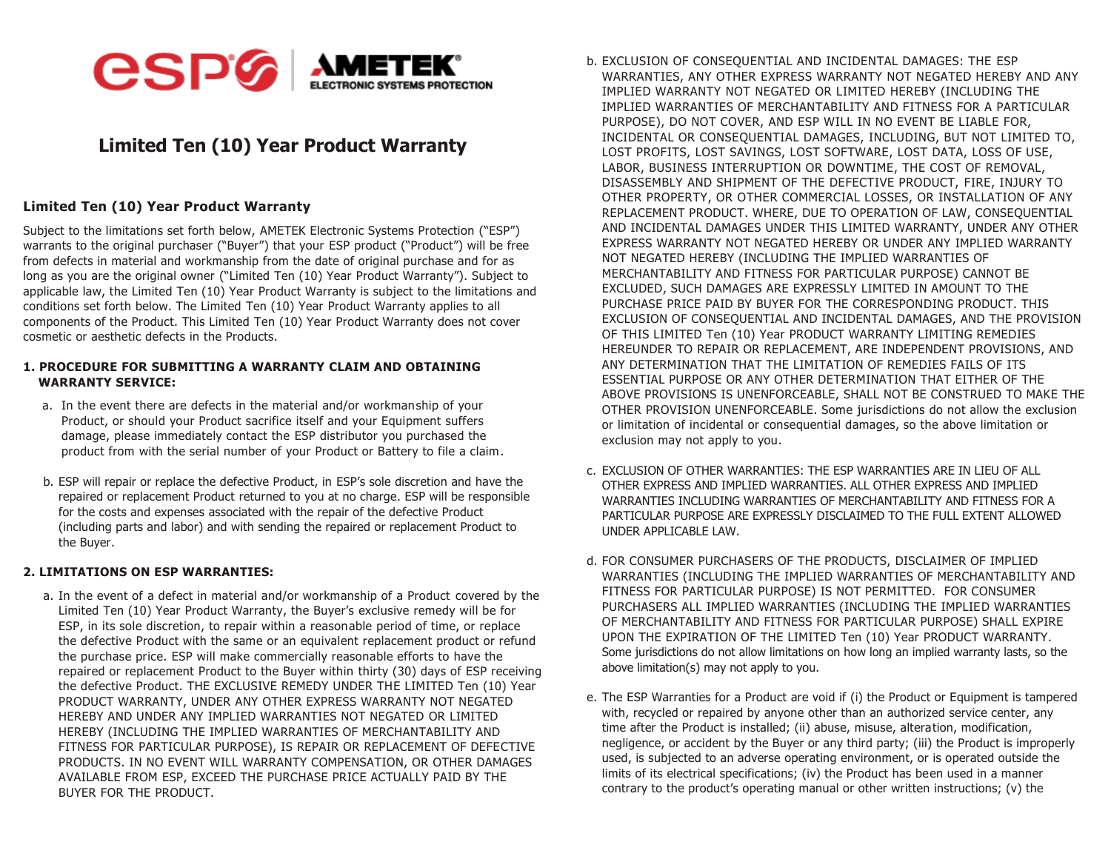

## **Limited Ten (10) Year Product Warranty**

## **Limited Ten (10) Year Product Warranty**

Subject to the limitations set forth below, AMETEK Electronic Systems Protection ("ESP") warrants to the original purchaser ("Buyer") that your ESP product ("Product") will be free from defects in material and workmanship from the date of original purchase and for as long as you are the original owner ("Limited Ten (10) Year Product Warranty"). Subject to applicable law, the Limited Ten (10) Year Product Warranty is subject to the limitations and conditions set forth below. The Limited Ten (10) Year Product Warranty applies to all components of the Product. This Limited Ten (10) Year Product Warranty does not cover cosmetic or aesthetic defects in the Products.

## **1. PROCEDURE FOR SUBMITTING A WARRANTY CLAIM AND OBTAINING WARRANTY SERVICE:**

- a. In the event there are defects in the material and/or workmanship of your Product, or should your Product sacrifice itself and your Equipment suffers damage, please immediately contact the ESP distributor you purchased the product from with the serial number of your Product or Battery to file a claim.
- b. ESP will repair or replace the defective Product, in ESP's sole discretion and have the repaired or replacement Product returned to you at no charge. ESP will be responsible for the costs and expenses associated with the repair of the defective Product (including parts and labor) and with sending the repaired or replacement Product to the Buyer.

## **2. LIMITATIONS ON ESP WARRANTIES:**

a. In the event of a defect in material and/or workmanship of a Product covered by the Limited Ten (10) Year Product Warranty, the Buyer's exclusive remedy will be for ESP, in its sole discretion, to repair within a reasonable period of time, or replace the defective Product with the same or an equivalent replacement product or refund the purchase price. ESP will make commercially reasonable efforts to have the repaired or replacement Product to the Buyer within thirty (30) days of ESP receiving the defective Product. THE EXCLUSIVE REMEDY UNDER THE LIMITED Ten (10) Year PRODUCT WARRANTY, UNDER ANY OTHER EXPRESS WARRANTY NOT NEGATED HEREBY AND UNDER ANY IMPLIED WARRANTIES NOT NEGATED OR LIMITED HEREBY (INCLUDING THE IMPLIED WARRANTIES OF MERCHANTABILITY AND FITNESS FOR PARTICULAR PURPOSE), IS REPAIR OR REPLACEMENT OF DEFECTIVE PRODUCTS. IN NO EVENT WILL WARRANTY COMPENSATION, OR OTHER DAMAGES AVAILABLE FROM ESP, EXCEED THE PURCHASE PRICE ACTUALLY PAID BY THE BUYER FOR THE PRODUCT.

- b. EXCLUSION OF CONSEQUENTIAL AND INCIDENTAL DAMAGES: THE ESP WARRANTIES, ANY OTHER EXPRESS WARRANTY NOT NEGATED HEREBY AND ANY IMPLIED WARRANTY NOT NEGATED OR LIMITED HEREBY (INCLUDING THE IMPLIED WARRANTIES OF MERCHANTABILITY AND FITNESS FOR A PARTICULAR PURPOSE), DO NOT COVER, AND ESP WILL IN NO EVENT BE LIABLE FOR, INCIDENTAL OR CONSEQUENTIAL DAMAGES, INCLUDING, BUT NOT LIMITED TO, LOST PROFITS, LOST SAVINGS, LOST SOFTWARE, LOST DATA, LOSS OF USE, LABOR, BUSINESS INTERRUPTION OR DOWNTIME, THE COST OF REMOVAL, DISASSEMBLY AND SHIPMENT OF THE DEFECTIVE PRODUCT, FIRE, INJURY TO OTHER PROPERTY, OR OTHER COMMERCIAL LOSSES, OR INSTALLATION OF ANY REPLACEMENT PRODUCT. WHERE, DUE TO OPERATION OF LAW, CONSEQUENTIAL AND INCIDENTAL DAMAGES UNDER THIS LIMITED WARRANTY, UNDER ANY OTHER EXPRESS WARRANTY NOT NEGATED HEREBY OR UNDER ANY IMPLIED WARRANTY NOT NEGATED HEREBY (INCLUDING THE IMPLIED WARRANTIES OF MERCHANTABILITY AND FITNESS FOR PARTICULAR PURPOSE) CANNOT BE EXCLUDED, SUCH DAMAGES ARE EXPRESSLY LIMITED IN AMOUNT TO THE PURCHASE PRICE PAID BY BUYER FOR THE CORRESPONDING PRODUCT. THIS EXCLUSION OF CONSEQUENTIAL AND INCIDENTAL DAMAGES, AND THE PROVISION OF THIS LIMITED Ten (10) Year PRODUCT WARRANTY LIMITING REMEDIES HEREUNDER TO REPAIR OR REPLACEMENT, ARE INDEPENDENT PROVISIONS, AND ANY DETERMINATION THAT THE LIMITATION OF REMEDIES FAILS OF ITS ESSENTIAL PURPOSE OR ANY OTHER DETERMINATION THAT EITHER OF THE ABOVE PROVISIONS IS UNENFORCEABLE, SHALL NOT BE CONSTRUED TO MAKE THE OTHER PROVISION UNENFORCEABLE. Some jurisdictions do not allow the exclusion or limitation of incidental or consequential damages, so the above limitation or exclusion may not apply to you.
- c. EXCLUSION OF OTHER WARRANTIES: THE ESP WARRANTIES ARE IN LIEU OF ALL OTHER EXPRESS AND IMPLIED WARRANTIES. ALL OTHER EXPRESS AND IMPLIED WARRANTIES INCLUDING WARRANTIES OF MERCHANTABILITY AND FITNESS FOR A PARTICULAR PURPOSE ARE EXPRESSLY DISCLAIMED TO THE FULL EXTENT ALLOWED UNDER APPLICABLE LAW.
- d. FOR CONSUMER PURCHASERS OF THE PRODUCTS, DISCLAIMER OF IMPLIED WARRANTIES (INCLUDING THE IMPLIED WARRANTIES OF MERCHANTABILITY AND FITNESS FOR PARTICULAR PURPOSE) IS NOT PERMITTED. FOR CONSUMER PURCHASERS ALL IMPLIED WARRANTIES (INCLUDING THE IMPLIED WARRANTIES OF MERCHANTABILITY AND FITNESS FOR PARTICULAR PURPOSE) SHALL EXPIRE UPON THE EXPIRATION OF THE LIMITED Ten (10) Year PRODUCT WARRANTY. Some jurisdictions do not allow limitations on how long an implied warranty lasts, so the above limitation(s) may not apply to you.
- e. The ESP Warranties for a Product are void if (i) the Product or Equipment is tampered with, recycled or repaired by anyone other than an authorized service center, any time after the Product is installed; (ii) abuse, misuse, alteration, modification, negligence, or accident by the Buyer or any third party; (iii) the Product is improperly used, is subjected to an adverse operating environment, or is operated outside the limits of its electrical specifications; (iv) the Product has been used in a manner contrary to the product's operating manual or other written instructions; (v) the